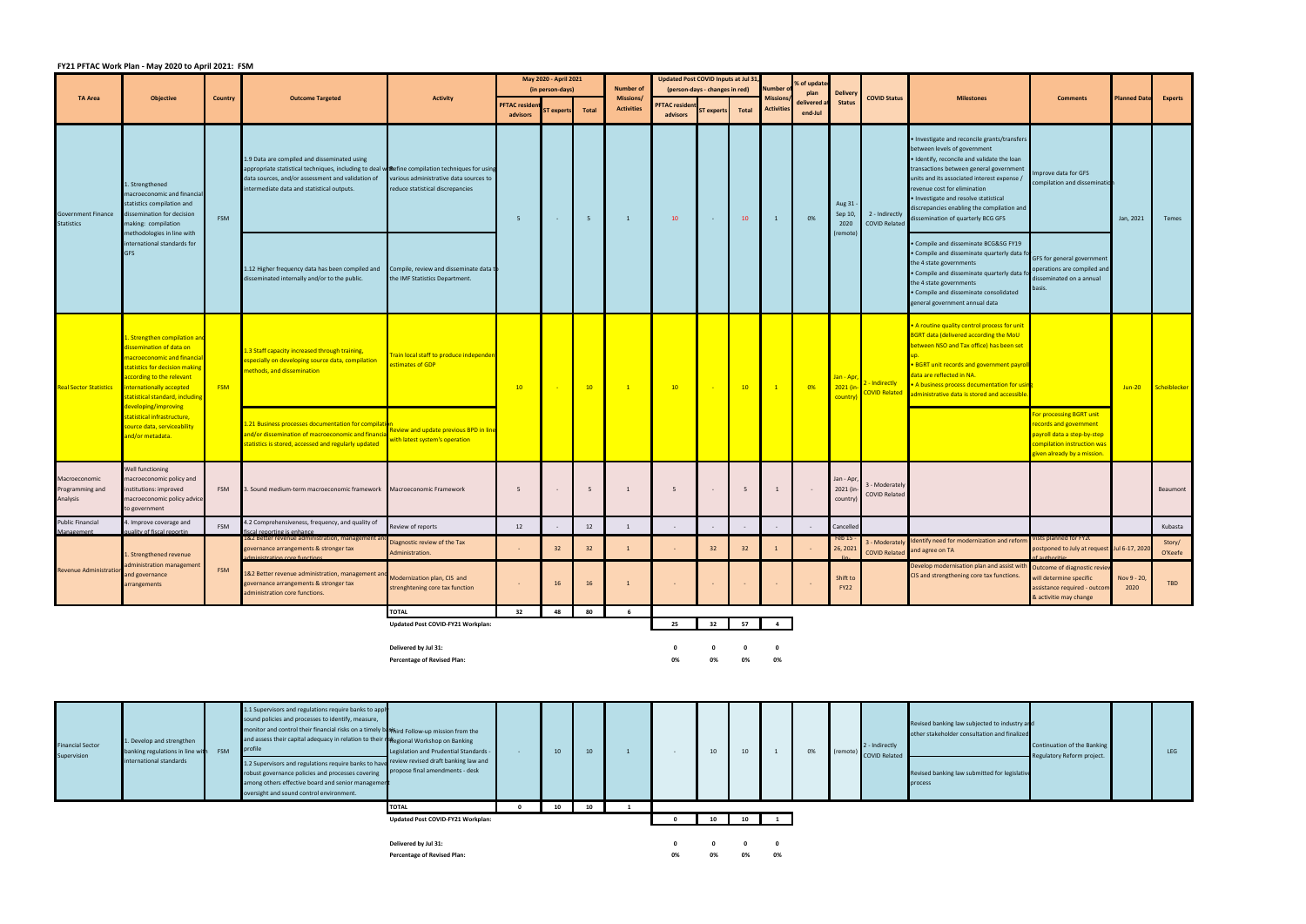## **FY21 PFTAC Work Plan ‐ May 2020 to April 2021: FSM**

|                                              |                                                                                                                                                                                                                      |                |                                                                                                                                                                                                                                                     |                                                                            | May 2020 - April 2021 |           |                  | Updated Post COVID Inputs at Jul 31,     |                      |                 |           | % of update                  |                 |                                    |                                        |                                                                                                                                                                                                                                                                                                                                                                                    |                                                                                                                                                |                                              |                   |
|----------------------------------------------|----------------------------------------------------------------------------------------------------------------------------------------------------------------------------------------------------------------------|----------------|-----------------------------------------------------------------------------------------------------------------------------------------------------------------------------------------------------------------------------------------------------|----------------------------------------------------------------------------|-----------------------|-----------|------------------|------------------------------------------|----------------------|-----------------|-----------|------------------------------|-----------------|------------------------------------|----------------------------------------|------------------------------------------------------------------------------------------------------------------------------------------------------------------------------------------------------------------------------------------------------------------------------------------------------------------------------------------------------------------------------------|------------------------------------------------------------------------------------------------------------------------------------------------|----------------------------------------------|-------------------|
|                                              |                                                                                                                                                                                                                      | <b>Country</b> | <b>Outcome Targeted</b>                                                                                                                                                                                                                             | <b>Activity</b>                                                            | (in person-days)      |           | <b>Number of</b> | Number<br>(person-days - changes in red) |                      |                 |           | plan                         | <b>Delivery</b> |                                    |                                        |                                                                                                                                                                                                                                                                                                                                                                                    |                                                                                                                                                |                                              |                   |
| <b>TA Area</b>                               | <b>Objective</b>                                                                                                                                                                                                     |                |                                                                                                                                                                                                                                                     |                                                                            | <b>PFTAC residen</b>  |           |                  | Missions/<br><b>Activities</b>           | <b>PFTAC residen</b> |                 |           | Mission<br><b>Activities</b> | delivered       | <b>Status</b>                      | <b>COVID Status</b>                    | <b>Milestones</b>                                                                                                                                                                                                                                                                                                                                                                  | <b>Comments</b>                                                                                                                                |                                              | <b>Experts</b>    |
|                                              |                                                                                                                                                                                                                      |                |                                                                                                                                                                                                                                                     |                                                                            | advisors              | T experts | Total            |                                          | advisors             | ST experts      | Total     |                              | end-Jul         |                                    |                                        |                                                                                                                                                                                                                                                                                                                                                                                    |                                                                                                                                                |                                              |                   |
| Government Finance<br>Statistics             | 1. Strengthened<br>macroeconomic and financial<br>statistics compilation and<br>dissemination for decision<br>making: compilation                                                                                    | FSM            | 1.9 Data are compiled and disseminated using<br>appropriate statistical techniques, including to deal withefine compilation techniques for using<br>data sources, and/or assessment and validation of<br>intermediate data and statistical outputs. | various administrative data sources to<br>reduce statistical discrepancies | 5                     | $\sim$    | $5\overline{5}$  | 1                                        | 10                   | <b>Contract</b> | 10        | 1                            | 0%              | Aug 31 -<br>Sep 10,<br>2020        | 2 - Indirectly<br><b>COVID Related</b> | • Investigate and reconcile grants/transfers<br>between levels of government<br>· Identify, reconcile and validate the loan<br>transactions between general government<br>units and its associated interest expense /<br>revenue cost for elimination<br>· Investigate and resolve statistical<br>discrepancies enabling the compilation and<br>dissemination of quarterly BCG GFS | mprove data for GFS<br>compilation and dissemination                                                                                           | <b>Planned Date</b><br>Jan, 2021<br>$Jun-20$ | Temes             |
|                                              | methodologies in line with<br>international standards for<br><b>GFS</b>                                                                                                                                              |                | 1.12 Higher frequency data has been compiled and Compile, review and disseminate data t<br>disseminated internally and/or to the public.                                                                                                            | the IMF Statistics Department.                                             |                       |           |                  |                                          |                      |                 |           |                              |                 | (remote)                           |                                        | Compile and disseminate BCG&SG FY19<br>Compile and disseminate quarterly data fo<br>the 4 state governments<br>Compile and disseminate quarterly data fo<br>the 4 state governments<br>Compile and disseminate consolidated<br>general government annual data                                                                                                                      | GFS for general government<br>operations are compiled and<br>disseminated on a annual<br>basis.                                                |                                              |                   |
| <b>Real Sector Statistics</b>                | L. Strengthen compilation and<br>lissemination of data on<br>macroeconomic and financia<br>statistics for decision making<br>according to the relevant<br>internationally accepted<br>statistical standard, includin | <b>FSM</b>     | 1.3 Staff capacity increased through training,<br>especially on developing source data, compilation<br>methods, and dissemination                                                                                                                   | rain local staff to produce independen<br>estimates of GDP                 | 10                    |           | 10               | $\mathbf{1}$                             | 10                   |                 | 10        | $\overline{\phantom{0}}$ 1   | 0%              | Jan - Apr,<br>2021 (in<br>country) | - Indirectly<br><b>OVID Related</b>    | A routine quality control process for unit<br>BGRT data (delivered according the MoU<br>between NSO and Tax office) has been set<br>• BGRT unit records and government payroll<br>data are reflected in NA.<br>• A business process documentation for using<br>administrative data is stored and accessible                                                                        |                                                                                                                                                |                                              | Scheiblecker      |
|                                              | developing/improving<br>tatistical infrastructure,<br>ource data, serviceability<br>and/or metadata.                                                                                                                 |                | 1.21 Business processes documentation for compilati<br>and/or dissemination of macroeconomic and financia<br>statistics is stored, accessed and regularly updated                                                                                   | eview and update previous BPD in line<br>vith latest system's operation    |                       |           |                  |                                          |                      |                 |           |                              |                 |                                    |                                        |                                                                                                                                                                                                                                                                                                                                                                                    | or processing BGRT unit<br>ecords and government<br>payroll data a step-by-step-<br>compilation instruction was<br>tiven already by a mission. |                                              |                   |
| Macroeconomic<br>Programming and<br>Analysis | Well functioning<br>macroeconomic policy and<br>institutions: improved<br>macroeconomic policy advice<br>to government                                                                                               | <b>FSM</b>     | 3. Sound medium-term macroeconomic framework    Macroeconomic Framework                                                                                                                                                                             |                                                                            | 5                     |           | 5                | 1                                        | 5                    | $\sim$          | 5         | 1                            |                 | Jan - Apr<br>2021 (in-<br>country) | 3 - Moderately<br><b>COVID Related</b> |                                                                                                                                                                                                                                                                                                                                                                                    |                                                                                                                                                |                                              | Beaumont          |
| <b>Public Financial</b>                      | 4. Improve coverage and                                                                                                                                                                                              | FSM            | 4.2 Comprehensiveness, frequency, and quality of                                                                                                                                                                                                    | Review of reports                                                          | 12                    |           | 12               | 1                                        |                      |                 |           |                              |                 | Cancelled                          |                                        |                                                                                                                                                                                                                                                                                                                                                                                    |                                                                                                                                                |                                              | Kubasta           |
| Management<br><b>Revenue Administration</b>  | quality of fiscal reportin<br>. Strengthened revenue<br>dministration managemer<br>and governance<br>arrangements                                                                                                    | <b>FSM</b>     | fiscal reporting is enhance<br>1&2 Better revenue administration, management a<br>governance arrangements & stronger tax<br>administration core functions                                                                                           | Diagnostic review of the Tax<br>Administration.                            |                       | 32        | 32               |                                          |                      | 32              | 32        |                              |                 | Feb 15<br>26, 2021                 | 3 - Moderately<br><b>COVID Related</b> | Identify need for modernization and reform<br>and agree on TA                                                                                                                                                                                                                                                                                                                      | Vists planned for FY2(<br>postponed to July at request Jul 6-17, 2020<br>of authoritie                                                         |                                              | Story/<br>O'Keefe |
|                                              |                                                                                                                                                                                                                      |                | 1&2 Better revenue administration, management and<br>governance arrangements & stronger tax<br>administration core functions.                                                                                                                       | Modernization plan, CIS and<br>strenghtening core tax function             | $\sim$                | 16        | 16               | $\mathbf{1}$                             |                      |                 |           |                              |                 | Shift to<br><b>FY22</b>            |                                        | Develop modernisation plan and assist with Outcome of diagnostic review<br>CIS and strengthening core tax functions.                                                                                                                                                                                                                                                               | will determine specific<br>assistance required - outcom<br>& activitie may change                                                              | Nov 9 - 20,<br>2020                          | <b>TBD</b>        |
|                                              |                                                                                                                                                                                                                      |                |                                                                                                                                                                                                                                                     | <b>TOTAL</b>                                                               | 32                    | 48        | 80               | 6                                        |                      |                 |           |                              |                 |                                    |                                        |                                                                                                                                                                                                                                                                                                                                                                                    |                                                                                                                                                |                                              |                   |
|                                              |                                                                                                                                                                                                                      |                |                                                                                                                                                                                                                                                     | Updated Post COVID-FY21 Workplan:                                          |                       |           |                  |                                          | 25                   |                 | 32 57     | $\overline{\mathbf{4}}$      |                 |                                    |                                        |                                                                                                                                                                                                                                                                                                                                                                                    |                                                                                                                                                |                                              |                   |
|                                              |                                                                                                                                                                                                                      |                |                                                                                                                                                                                                                                                     | Delivered by Jul 31:                                                       |                       |           |                  |                                          | $\mathbf{0}$         | $\mathbf{0}$    | $\bullet$ | $\mathbf 0$                  |                 |                                    |                                        |                                                                                                                                                                                                                                                                                                                                                                                    |                                                                                                                                                |                                              |                   |

**Percentage of Revised Plan: 0% 0% 0% 0%**

| <b>Financial Sector</b><br>Supervision | 1. Develop and strengthen<br>banking regulations in line with<br>international standards | <b>FSM</b> | 1.1 Supervisors and regulations require banks to apply<br>sound policies and processes to identify, measure,<br>monitor and control their financial risks on a timely be shird Follow-up mission from the<br>and assess their capital adequacy in relation to their research Workshop on Banking<br>orofile<br>1.2 Supervisors and regulations require banks to have review revised draft banking law and<br>robust governance policies and processes covering<br>among others effective board and senior management<br>oversight and sound control environment. | Legislation and Prudential Standards -<br>propose final amendments - desk | 10 | 10 <sup>°</sup> |    | 10 | 10      |    | 0% | 2 - Indirectly<br>(remote) COVID Related | Revised banking law subjected to industry and<br>other stakeholder consultation and finalized<br>Revised banking law submitted for legislative<br>process | Continuation of the Banking<br>Regulatory Reform project. | <b>LEG</b> |
|----------------------------------------|------------------------------------------------------------------------------------------|------------|------------------------------------------------------------------------------------------------------------------------------------------------------------------------------------------------------------------------------------------------------------------------------------------------------------------------------------------------------------------------------------------------------------------------------------------------------------------------------------------------------------------------------------------------------------------|---------------------------------------------------------------------------|----|-----------------|----|----|---------|----|----|------------------------------------------|-----------------------------------------------------------------------------------------------------------------------------------------------------------|-----------------------------------------------------------|------------|
|                                        |                                                                                          |            |                                                                                                                                                                                                                                                                                                                                                                                                                                                                                                                                                                  | <b>TOTAL</b>                                                              | 10 | 10              |    |    |         |    |    |                                          |                                                                                                                                                           |                                                           |            |
|                                        |                                                                                          |            |                                                                                                                                                                                                                                                                                                                                                                                                                                                                                                                                                                  | Updated Post COVID-FY21 Workplan:                                         |    |                 |    |    | 10 10 1 |    |    |                                          |                                                                                                                                                           |                                                           |            |
|                                        |                                                                                          |            |                                                                                                                                                                                                                                                                                                                                                                                                                                                                                                                                                                  | Delivered by Jul 31:<br><b>Percentage of Revised Plan:</b>                |    |                 | 0% | 0% | 0%      | 0% |    |                                          |                                                                                                                                                           |                                                           |            |